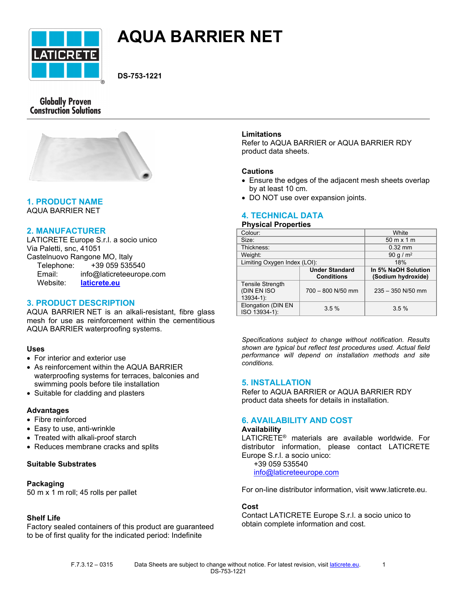

# **AQUA BARRIER NET**

**DS-753-1221**

# **Globally Proven Construction Solutions**



# **1. PRODUCT NAME**

AQUA BARRIER NET

# **2. MANUFACTURER**

LATICRETE Europe S.r.l. a socio unico Via Paletti, snc, 41051 Castelnuovo Rangone MO, Italy Telephone: +39 059 535540

| Email:   | info@laticreteeurope.com |
|----------|--------------------------|
| Website: | laticrete.eu             |

# **3. PRODUCT DESCRIPTION**

AQUA BARRIER NET is an alkali-resistant, fibre glass mesh for use as reinforcement within the cementitious AQUA BARRIER waterproofing systems.

# **Uses**

- For interior and exterior use
- As reinforcement within the AQUA BARRIER waterproofing systems for terraces, balconies and swimming pools before tile installation
- Suitable for cladding and plasters

## **Advantages**

- Fibre reinforced
- Easy to use, anti-wrinkle
- Treated with alkali-proof starch
- Reduces membrane cracks and splits

## **Suitable Substrates**

## **Packaging**

50 m x 1 m roll; 45 rolls per pallet

# **Shelf Life**

Factory sealed containers of this product are guaranteed to be of first quality for the indicated period: Indefinite

## **Limitations**

Refer to AQUA BARRIER or AQUA BARRIER RDY product data sheets.

### **Cautions**

- Ensure the edges of the adjacent mesh sheets overlap by at least 10 cm.
- DO NOT use over expansion joints.

# **4. TECHNICAL DATA**

#### **Physical Properties**

| Colour:                                               |                                            | White                                     |
|-------------------------------------------------------|--------------------------------------------|-------------------------------------------|
| Size:                                                 |                                            | $50 \text{ m} \times 1 \text{ m}$         |
| Thickness:                                            |                                            | $0.32$ mm                                 |
| Weight:                                               |                                            | 90 g / $m^2$                              |
| Limiting Oxygen Index (LOI):                          |                                            | 18%                                       |
|                                                       | <b>Under Standard</b><br><b>Conditions</b> | In 5% NaOH Solution<br>(Sodium hydroxide) |
| <b>Tensile Strength</b><br>(DIN EN ISO<br>$13934-1$ : | 700 - 800 N/50 mm                          | $235 - 350$ N/50 mm                       |
| Elongation (DIN EN<br>ISO 13934-1):                   | 3.5%                                       | 3.5%                                      |

*Specifications subject to change without notification. Results shown are typical but reflect test procedures used. Actual field performance will depend on installation methods and site conditions.*

## **5. INSTALLATION**

Refer to AQUA BARRIER or AQUA BARRIER RDY product data sheets for details in installation.

# **6. AVAILABILITY AND COST**

#### **Availability**

LATICRETE® materials are available worldwide. For distributor information, please contact LATICRETE Europe S.r.l. a socio unico:

 +39 059 535540 [info@laticreteeurope.com](mailto:info@laticreteeurope.com)

For on-line distributor information, visit www.laticrete.eu.

## **Cost**

Contact LATICRETE Europe S.r.l. a socio unico to obtain complete information and cost.